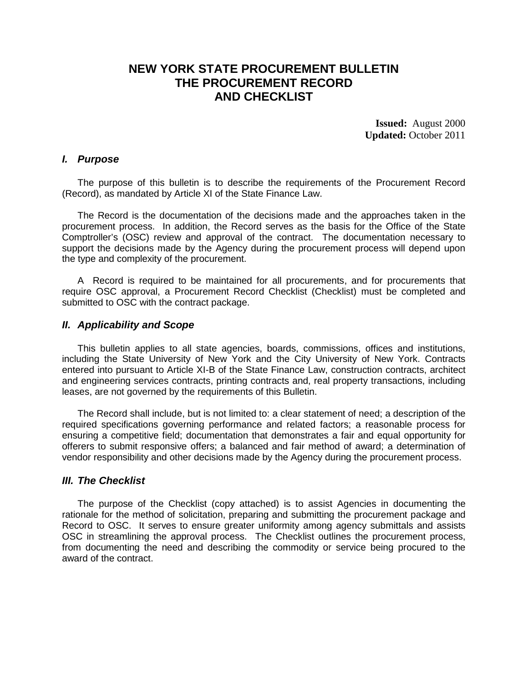# **NEW YORK STATE PROCUREMENT BULLETIN THE PROCUREMENT RECORD AND CHECKLIST**

**Issued:** August 2000 **Updated:** October 2011

#### *I. Purpose*

The purpose of this bulletin is to describe the requirements of the Procurement Record (Record), as mandated by Article XI of the State Finance Law.

The Record is the documentation of the decisions made and the approaches taken in the procurement process. In addition, the Record serves as the basis for the Office of the State Comptroller's (OSC) review and approval of the contract. The documentation necessary to support the decisions made by the Agency during the procurement process will depend upon the type and complexity of the procurement.

A Record is required to be maintained for all procurements, and for procurements that require OSC approval, a Procurement Record Checklist (Checklist) must be completed and submitted to OSC with the contract package.

### *II. Applicability and Scope*

This bulletin applies to all state agencies, boards, commissions, offices and institutions, including the State University of New York and the City University of New York. Contracts entered into pursuant to Article XI-B of the State Finance Law, construction contracts, architect and engineering services contracts, printing contracts and, real property transactions, including leases, are not governed by the requirements of this Bulletin.

The Record shall include, but is not limited to: a clear statement of need; a description of the required specifications governing performance and related factors; a reasonable process for ensuring a competitive field; documentation that demonstrates a fair and equal opportunity for offerers to submit responsive offers; a balanced and fair method of award; a determination of vendor responsibility and other decisions made by the Agency during the procurement process.

### *III. The Checklist*

The purpose of the Checklist (copy attached) is to assist Agencies in documenting the rationale for the method of solicitation, preparing and submitting the procurement package and Record to OSC. It serves to ensure greater uniformity among agency submittals and assists OSC in streamlining the approval process. The Checklist outlines the procurement process, from documenting the need and describing the commodity or service being procured to the award of the contract.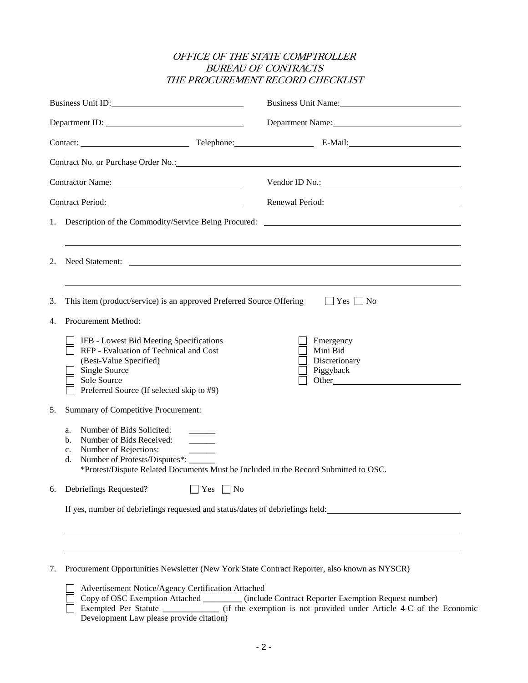## OFFICE OF THE STATE COMPTROLLER BUREAU OF CONTRACTS THE PROCUREMENT RECORD CHECKLIST

| Business Unit ID:                                                                                                                                                                                                              |                                                                                                                                                                                                                                                                                         | Business Unit Name:                                                              |  |  |  |
|--------------------------------------------------------------------------------------------------------------------------------------------------------------------------------------------------------------------------------|-----------------------------------------------------------------------------------------------------------------------------------------------------------------------------------------------------------------------------------------------------------------------------------------|----------------------------------------------------------------------------------|--|--|--|
|                                                                                                                                                                                                                                | Department ID:                                                                                                                                                                                                                                                                          | Department Name:                                                                 |  |  |  |
| Contact: Contact: Contact: Contact: Contact: Contact: Contact: Contact: Contact: Contact: Contact: Contact: Contact: Contact: Contact: Contact: Contact: Contact: Contact: Contact: Contact: Contact: Contact: Contact: Contac |                                                                                                                                                                                                                                                                                         |                                                                                  |  |  |  |
|                                                                                                                                                                                                                                |                                                                                                                                                                                                                                                                                         |                                                                                  |  |  |  |
| Contractor Name: 2008                                                                                                                                                                                                          |                                                                                                                                                                                                                                                                                         | Vendor ID No.: 2008                                                              |  |  |  |
|                                                                                                                                                                                                                                |                                                                                                                                                                                                                                                                                         | Renewal Period: Manual Manual Period:                                            |  |  |  |
|                                                                                                                                                                                                                                |                                                                                                                                                                                                                                                                                         | 1. Description of the Commodity/Service Being Procured:                          |  |  |  |
| 2.                                                                                                                                                                                                                             | Need Statement:                                                                                                                                                                                                                                                                         | ,我们也不会有什么。""我们的人,我们也不会有什么?""我们的人,我们也不会有什么?""我们的人,我们也不会有什么?""我们的人,我们也不会有什么?""我们的人 |  |  |  |
| 3.<br>4.                                                                                                                                                                                                                       | This item (product/service) is an approved Preferred Source Offering<br>Procurement Method:<br>IFB - Lowest Bid Meeting Specifications<br>RFP - Evaluation of Technical and Cost<br>(Best-Value Specified)<br>Single Source<br>Sole Source<br>Preferred Source (If selected skip to #9) | $ $   Yes     No<br>Emergency<br>Mini Bid<br>Discretionary<br>Piggyback          |  |  |  |
| 5.                                                                                                                                                                                                                             | Summary of Competitive Procurement:<br>Number of Bids Solicited:<br>a.<br>Number of Bids Received:<br>b.<br>Number of Rejections:<br>c.<br>Number of Protests/Disputes*:<br>d.<br>*Protest/Dispute Related Documents Must be Included in the Record Submitted to OSC.                   |                                                                                  |  |  |  |
| 6.                                                                                                                                                                                                                             | Debriefings Requested?<br>$\Box$ Yes $\Box$ No<br>If yes, number of debriefings requested and status/dates of debriefings held:                                                                                                                                                         |                                                                                  |  |  |  |
| 7.                                                                                                                                                                                                                             | Procurement Opportunities Newsletter (New York State Contract Reporter, also known as NYSCR)                                                                                                                                                                                            |                                                                                  |  |  |  |

| <b>Advertisement Notice/Agency Certification Attached</b> |                                                                     |
|-----------------------------------------------------------|---------------------------------------------------------------------|
| Copy of OSC Exemption Attached                            | (include Contract Reporter Exemption Request number)                |
| Exempted Per Statute                                      | (if the exemption is not provided under Article 4-C of the Economic |
| Development Law please provide citation)                  |                                                                     |